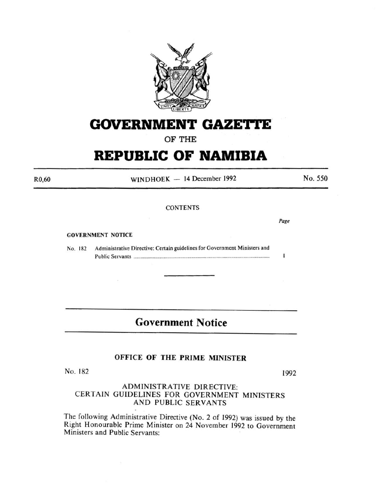

# **GOVERNMENT GAZETTE**

OF THE

# **REPUBLIC OF NAMIBIA**

 $WINDHOEK - 14 December 1992$ 

No. *550* 

### **CONTENTS**

GOVERNMENT NOTICE

No. 182 Administrative Directive: Certain guidelines for Government Ministers and Public Servants ................................................................................................................... .

# **Government Notice**

# OFFICE OF THE PRIME MINISTER

No. 182 1992

# ADMINISTRATIVE DIRECTIVE: CERTAIN GUIDELINES FOR GOVERNMENT MINISTERS AND PUBLIC SERVANTS

The following Administrative Directive (No. 2 of 1992) was issued by the Right Honourable Prime Minister on 24 November 1992 to Government Ministers and Public Servants:

R0,60

Page

Ť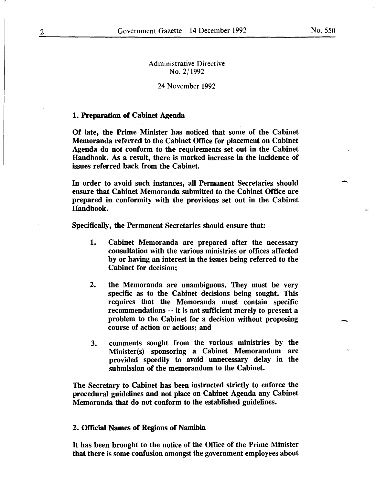-

-

Administrative Directive No. 2/1992

## 24 November 1992

### 1. Preparation of Cabinet Agenda

Of late, the Prime Minister has noticed that some of the Cabinet Memoranda referred to the Cabinet Office for placement on Cabinet Agenda do not conform to the requirements set out in the Cabinet Handbook. As a result, there is marked increase in the incidence of issues referred back from the Cabinet.

In order to avoid such instances, all Permanent Secretaries should ensure that Cabinet Memoranda submitted to the Cabinet Office are prepared in conformity with the provisions set out in the Cabinet Handbook.

Specifically, the Permanent Secretaries should ensure that:

- 1. Cabinet Memoranda are prepared after the necessary consultation with the various ministries or offices affected by or having an interest in the issues being referred to the Cabinet for decision;
- 2. the Memoranda are unambiguous. They must be very specific as to the Cabinet decisions being sought. This requires that the Memoranda must contain specific recommendations -- it is not sufficient merely to present a problem to the Cabinet for a decision without proposing course of action or actions; and
- 3. comments sought from the various ministries by the Minister(s) sponsoring a Cabinet Memorandum are provided speedily to avoid unnecessary delay in the submission of the memorandum to the Cabinet.

The Secretary to Cabinet has been instructed strictly to enforce the procedural guidelines and not place on Cabinet Agenda any Cabinet Memoranda that do not conform to the established guidelines.

#### 2. Official Names of Regions of Namibia

It has been brought to the notice of the Office of the Prime Minister that there is some confusion amongst the government employees about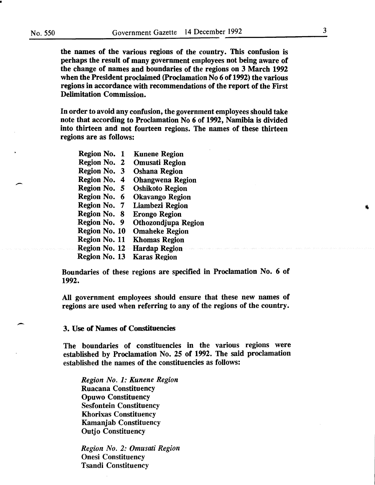$\overline{\phantom{a}}$ 

-

the names of the various regions of the country. This confusion is perhaps the result of many government employees not being aware of the change of names and boundaries of the regions on 3 March 1992 when the President proclaimed (Proclamation No 6 of 1992) the various regions in accordance with recommendations of the report of the First Delimitation Commission.

In order to avoid any confusion, the government employees should take note that according to Proclamation No 6 of 1992, Namibia is divided into thirteen and not fourteen regions. The names of these thirteen regions are as follows:

| Region No. 1         | <b>Kunene Region</b>    |
|----------------------|-------------------------|
| Region No. 2         | <b>Omusati Region</b>   |
| Region No. 3         | <b>Oshana Region</b>    |
| Region No. 4         | <b>Ohangwena Region</b> |
| Region No. 5         | <b>Oshikoto Region</b>  |
| Region No. 6         | <b>Okavango Region</b>  |
| Region No. 7         | Liambezi Region         |
| Region No. 8         | <b>Erongo Region</b>    |
| Region No. 9         | Othozondjupa Region     |
| Region No. 10        | <b>Omaheke Region</b>   |
| Region No. 11        | <b>Khomas Region</b>    |
| <b>Region No. 12</b> | <b>Hardap Region</b>    |
| Region No. 13        | Karas Region            |
|                      |                         |

Boundaries of these regions are specified in Proclamation No. 6 of 1992.

All government employees should ensure that these new names of regions are used when referring to any of the regions of the country.

#### 3. Use of Names of Constituencies

The boundaries of constituencies in the various regions were established by Proclamation No. 25 of 1992. The said proclamation established the names of the constituencies as follows:

*Region No.1: Kunene Region*  Ruacana Constituency Opuwo Constituency Sesfontein Constituency Khorixas Constituency Kamanjab Constituency Outjo Constituency

*Region No. 2: Omusati Region*  Onesi Constituency Tsandi Constituency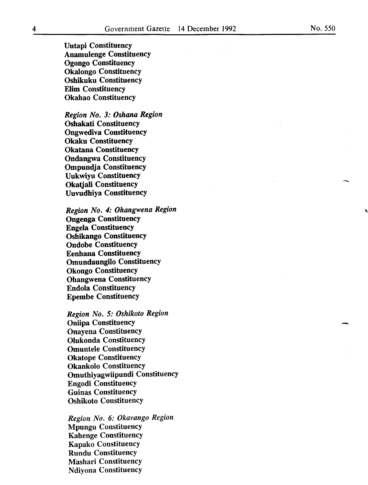Uutapi Constituency Anamulenge Constituency Ogongo Constituency Okalongo Constituency Oshikuku Constituency Elim Constituency Okahao Constituency

*Region No. 3: Oshana Region*  Oshakati Constituency Ongwediva Constituency Okaku Constituency Okatana Constituency Ondangwa Constituency Ompundja Constituency Uukwiyu Constituency Okatjali Constituency Uuvudhiya Constituency

*Region No. 4: Ohangwena Region*  Ongenga Constituency Engela Constituency Oshikango Constituency Ondobe Constituency Eenhana Constituency Omundaungilo Constituency Okongo Constituency Ohangwena Constituency Endola Constituency Epembe Constituency

*Region No. 5: Oshikoto Region*  Oniipa Constituency Onayena Constituency Olukonda Constituency Omuntele Constituency Okatope Constituency Okankolo Constituency Omuthiyagwiipundi Constituency Engodi Constituency Guinas Constituency Oshikoto Constituency

*Region No. 6: Okavango Region*  Mpungu Constituency Kahenge Constituency Kapako Constituency Rundu Constituency Mashari Constituency Ndiyona Constituency

 $\overline{\phantom{a}}$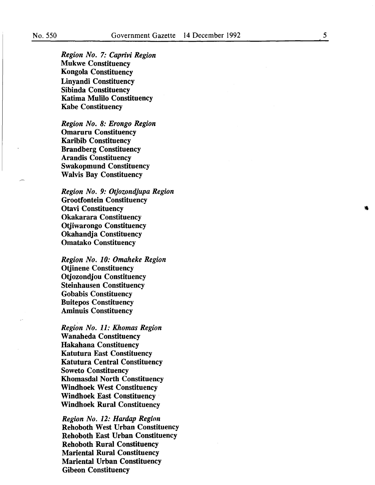*5* 

*Region No. 7: Caprivi Region*  Mukwe Constituency Kongola Constituency Linyandi Constituency Sibinda Constituency Katima Mulilo Constituency Kabe Constituency

*Region No. 8: Erongo Region*  Omaruru Constituency Karibib Constituency Brandberg Constituency Arandis Constituency Swakopmund Constituency Walvis Bay Constituency

*Region No. 9: Otjozondjupa Region*  Grootfontein Constituency Otavi Constituency Okakarara Constituency Otjiwarongo Constituency Okahandja Constituency Omatako Constituency

*Region No. 10: Omaheke Region*  Otjinene Constituency Otjozondjou Constituency Steinhausen Constituency Gobabis Constituency Buitepos Constituency Aminuis Constituency

*Region No. 11: Khomas Region*  Wanaheda Constituency Hakahana Constituency Katutura East Constituency Katutura Central Constituency Soweto Constituency Khomasdal North Constituency Windhoek West Constituency Windhoek East Constituency Windhoek Rural Constituency

*Region No. 12: Hardap Region*  Rehoboth West Urban Constituency Rehoboth East Urban Constituency Rehoboth Rural Constituency Mariental Rural Constituency Mariental Urban Constituency Gibeon Constituency